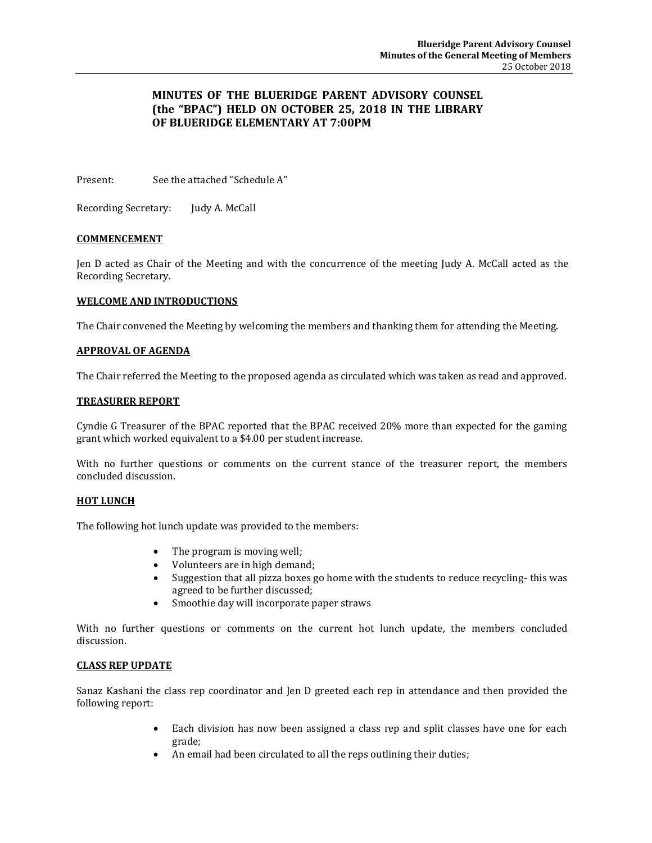# **MINUTES OF THE BLUERIDGE PARENT ADVISORY COUNSEL (the "BPAC") HELD ON OCTOBER 25, 2018 IN THE LIBRARY OF BLUERIDGE ELEMENTARY AT 7:00PM**

Present: See the attached "Schedule A"

Recording Secretary: Judy A. McCall

### **COMMENCEMENT**

Jen D acted as Chair of the Meeting and with the concurrence of the meeting Judy A. McCall acted as the Recording Secretary.

### **WELCOME AND INTRODUCTIONS**

The Chair convened the Meeting by welcoming the members and thanking them for attending the Meeting.

#### **APPROVAL OF AGENDA**

The Chair referred the Meeting to the proposed agenda as circulated which was taken as read and approved.

#### **TREASURER REPORT**

Cyndie G Treasurer of the BPAC reported that the BPAC received 20% more than expected for the gaming grant which worked equivalent to a \$4.00 per student increase.

With no further questions or comments on the current stance of the treasurer report, the members concluded discussion.

#### **HOT LUNCH**

The following hot lunch update was provided to the members:

- The program is moving well:
- Volunteers are in high demand;
- Suggestion that all pizza boxes go home with the students to reduce recycling-this was agreed to be further discussed;
- Smoothie day will incorporate paper straws

With no further questions or comments on the current hot lunch update, the members concluded discussion.

#### **CLASS REP UPDATE**

Sanaz Kashani the class rep coordinator and Jen D greeted each rep in attendance and then provided the following report:

- Each division has now been assigned a class rep and split classes have one for each grade;
- An email had been circulated to all the reps outlining their duties;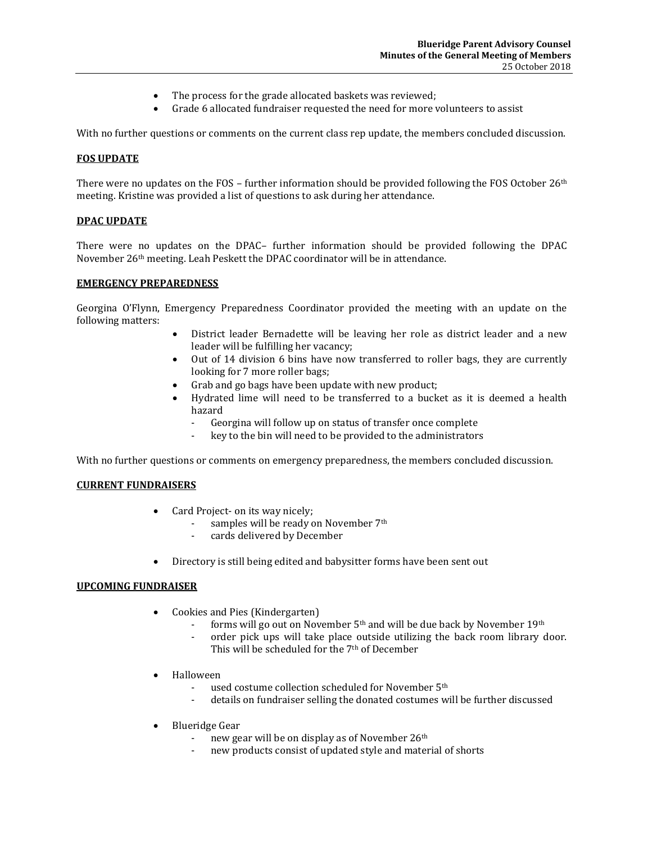- The process for the grade allocated baskets was reviewed;
- Grade 6 allocated fundraiser requested the need for more volunteers to assist

With no further questions or comments on the current class rep update, the members concluded discussion.

### **FOS UPDATE**

There were no updates on the FOS – further information should be provided following the FOS October  $26<sup>th</sup>$ meeting. Kristine was provided a list of questions to ask during her attendance.

#### **DPAC UPDATE**

There were no updates on the DPAC– further information should be provided following the DPAC November 26th meeting. Leah Peskett the DPAC coordinator will be in attendance.

#### **EMERGENCY PREPAREDNESS**

Georgina O'Flynn, Emergency Preparedness Coordinator provided the meeting with an update on the following matters:

- District leader Bernadette will be leaving her role as district leader and a new leader will be fulfilling her vacancy;
- Out of 14 division 6 bins have now transferred to roller bags, they are currently looking for 7 more roller bags;
- Grab and go bags have been update with new product;
- Hydrated lime will need to be transferred to a bucket as it is deemed a health hazard
	- Georgina will follow up on status of transfer once complete
	- key to the bin will need to be provided to the administrators

With no further questions or comments on emergency preparedness, the members concluded discussion.

#### **CURRENT FUNDRAISERS**

- Card Project- on its way nicely;
	- samples will be ready on November 7<sup>th</sup>
	- cards delivered by December
- Directory is still being edited and babysitter forms have been sent out

#### **UPCOMING FUNDRAISER**

- Cookies and Pies (Kindergarten)
	- forms will go out on November  $5<sup>th</sup>$  and will be due back by November 19<sup>th</sup>
	- order pick ups will take place outside utilizing the back room library door. This will be scheduled for the 7th of December
- Halloween
	- used costume collection scheduled for November 5<sup>th</sup>
	- details on fundraiser selling the donated costumes will be further discussed
- Blueridge Gear
	- new gear will be on display as of November 26th
	- new products consist of updated style and material of shorts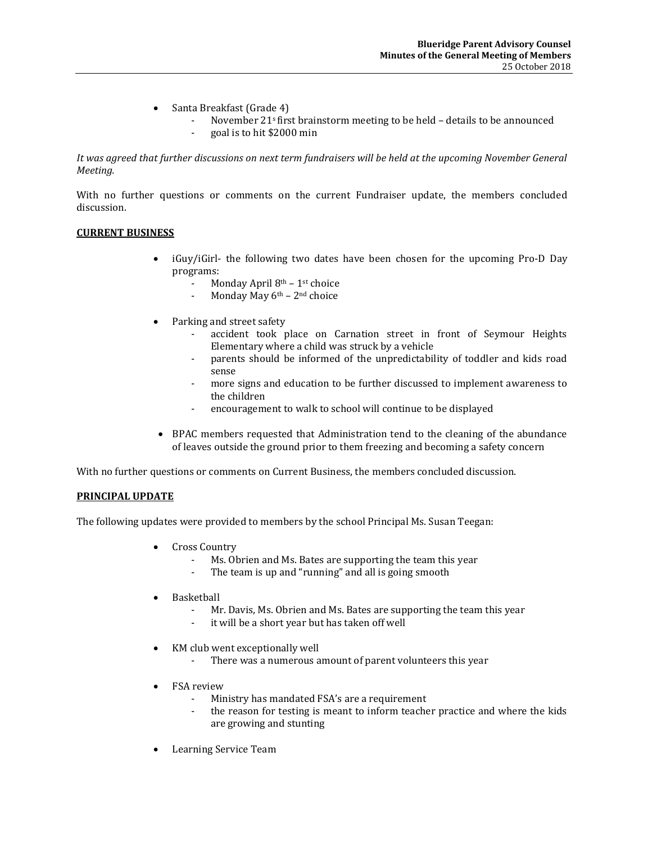- Santa Breakfast (Grade 4)
	- November 21<sup>s</sup> first brainstorm meeting to be held details to be announced
	- goal is to hit \$2000 min

*It was agreed that further discussions on next term fundraisers will be held at the upcoming November General Meeting.*

With no further questions or comments on the current Fundraiser update, the members concluded discussion.

### **CURRENT BUSINESS**

- iGuy/iGirl- the following two dates have been chosen for the upcoming Pro-D Day programs:
	- Monday April  $8<sup>th</sup> 1<sup>st</sup>$  choice
	- Monday May  $6<sup>th</sup> 2<sup>nd</sup>$  choice
- Parking and street safety
	- accident took place on Carnation street in front of Seymour Heights Elementary where a child was struck by a vehicle
	- parents should be informed of the unpredictability of toddler and kids road sense
	- more signs and education to be further discussed to implement awareness to the children
	- encouragement to walk to school will continue to be displayed
- BPAC members requested that Administration tend to the cleaning of the abundance of leaves outside the ground prior to them freezing and becoming a safety concern

With no further questions or comments on Current Business, the members concluded discussion.

## **PRINCIPAL UPDATE**

The following updates were provided to members by the school Principal Ms. Susan Teegan:

- Cross Country
	- Ms. Obrien and Ms. Bates are supporting the team this year
	- The team is up and "running" and all is going smooth
- Basketball
	- Mr. Davis, Ms. Obrien and Ms. Bates are supporting the team this year
	- it will be a short year but has taken off well
- KM club went exceptionally well
	- There was a numerous amount of parent volunteers this year
- FSA review
	- Ministry has mandated FSA's are a requirement
	- the reason for testing is meant to inform teacher practice and where the kids are growing and stunting
- Learning Service Team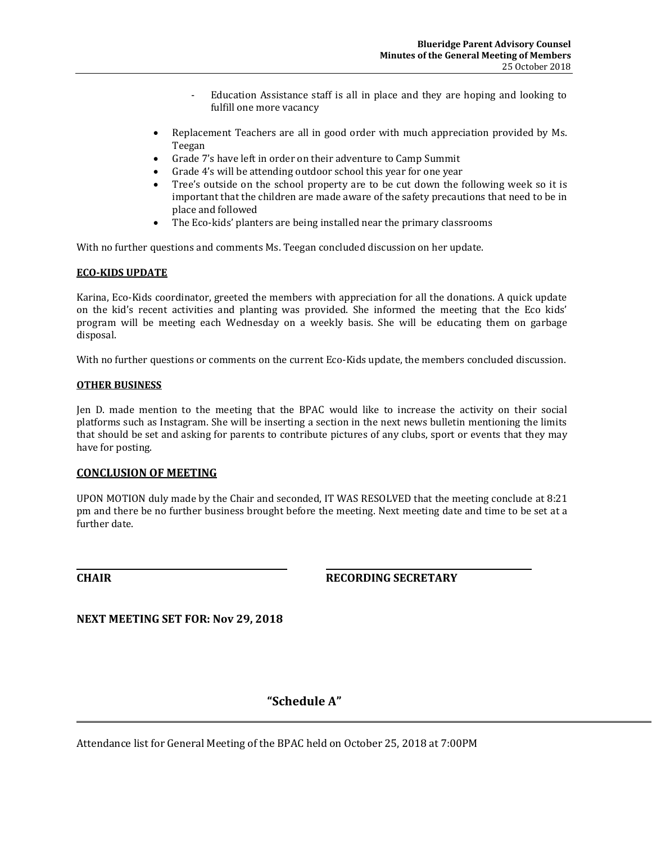- Education Assistance staff is all in place and they are hoping and looking to fulfill one more vacancy
- Replacement Teachers are all in good order with much appreciation provided by Ms. Teegan
- Grade 7's have left in order on their adventure to Camp Summit
- Grade 4's will be attending outdoor school this year for one year
- Tree's outside on the school property are to be cut down the following week so it is important that the children are made aware of the safety precautions that need to be in place and followed
- The Eco-kids' planters are being installed near the primary classrooms

With no further questions and comments Ms. Teegan concluded discussion on her update.

### **ECO-KIDS UPDATE**

Karina, Eco-Kids coordinator, greeted the members with appreciation for all the donations. A quick update on the kid's recent activities and planting was provided. She informed the meeting that the Eco kids' program will be meeting each Wednesday on a weekly basis. She will be educating them on garbage disposal.

With no further questions or comments on the current Eco-Kids update, the members concluded discussion.

#### **OTHER BUSINESS**

Jen D. made mention to the meeting that the BPAC would like to increase the activity on their social platforms such as Instagram. She will be inserting a section in the next news bulletin mentioning the limits that should be set and asking for parents to contribute pictures of any clubs, sport or events that they may have for posting.

### **CONCLUSION OF MEETING**

UPON MOTION duly made by the Chair and seconded, IT WAS RESOLVED that the meeting conclude at 8:21 pm and there be no further business brought before the meeting. Next meeting date and time to be set at a further date.

**CHAIR RECORDING SECRETARY**

**NEXT MEETING SET FOR: Nov 29, 2018**

# **"Schedule A"**

Attendance list for General Meeting of the BPAC held on October 25, 2018 at 7:00PM